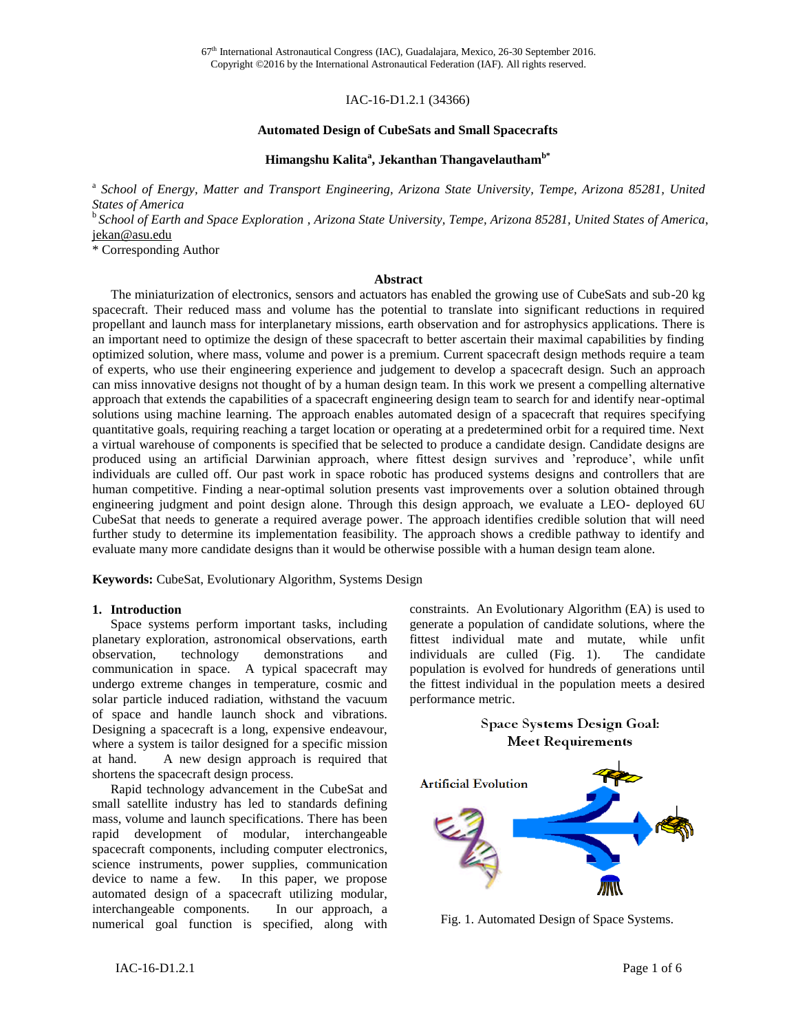IAC-16-D1.2.1 (34366)

#### **Automated Design of CubeSats and Small Spacecrafts**

# **Himangshu Kalita<sup>a</sup> , Jekanthan Thangavelauthamb\***

<sup>a</sup> School of Energy, Matter and Transport Engineering, Arizona State University, Tempe, Arizona 85281, United *States of America*

b *School of Earth and Space Exploration , Arizona State University, Tempe, Arizona 85281, United States of America*, [jekan@asu.edu](mailto:editor-in-chief@iaamail.org)

\* Corresponding Author

#### **Abstract**

The miniaturization of electronics, sensors and actuators has enabled the growing use of CubeSats and sub-20 kg spacecraft. Their reduced mass and volume has the potential to translate into significant reductions in required propellant and launch mass for interplanetary missions, earth observation and for astrophysics applications. There is an important need to optimize the design of these spacecraft to better ascertain their maximal capabilities by finding optimized solution, where mass, volume and power is a premium. Current spacecraft design methods require a team of experts, who use their engineering experience and judgement to develop a spacecraft design. Such an approach can miss innovative designs not thought of by a human design team. In this work we present a compelling alternative approach that extends the capabilities of a spacecraft engineering design team to search for and identify near-optimal solutions using machine learning. The approach enables automated design of a spacecraft that requires specifying quantitative goals, requiring reaching a target location or operating at a predetermined orbit for a required time. Next a virtual warehouse of components is specified that be selected to produce a candidate design. Candidate designs are produced using an artificial Darwinian approach, where fittest design survives and 'reproduce', while unfit individuals are culled off. Our past work in space robotic has produced systems designs and controllers that are human competitive. Finding a near-optimal solution presents vast improvements over a solution obtained through engineering judgment and point design alone. Through this design approach, we evaluate a LEO- deployed 6U CubeSat that needs to generate a required average power. The approach identifies credible solution that will need further study to determine its implementation feasibility. The approach shows a credible pathway to identify and evaluate many more candidate designs than it would be otherwise possible with a human design team alone.

**Keywords:** CubeSat, Evolutionary Algorithm, Systems Design

#### **1. Introduction**

Space systems perform important tasks, including planetary exploration, astronomical observations, earth observation, technology demonstrations and communication in space. A typical spacecraft may undergo extreme changes in temperature, cosmic and solar particle induced radiation, withstand the vacuum of space and handle launch shock and vibrations. Designing a spacecraft is a long, expensive endeavour, where a system is tailor designed for a specific mission at hand. A new design approach is required that shortens the spacecraft design process.

Rapid technology advancement in the CubeSat and small satellite industry has led to standards defining mass, volume and launch specifications. There has been rapid development of modular, interchangeable spacecraft components, including computer electronics, science instruments, power supplies, communication device to name a few. In this paper, we propose automated design of a spacecraft utilizing modular, interchangeable components. In our approach, a numerical goal function is specified, along with constraints. An Evolutionary Algorithm (EA) is used to generate a population of candidate solutions, where the fittest individual mate and mutate, while unfit individuals are culled (Fig. 1). The candidate population is evolved for hundreds of generations until the fittest individual in the population meets a desired performance metric.

**Space Systems Design Goal:** 



Fig. 1. Automated Design of Space Systems.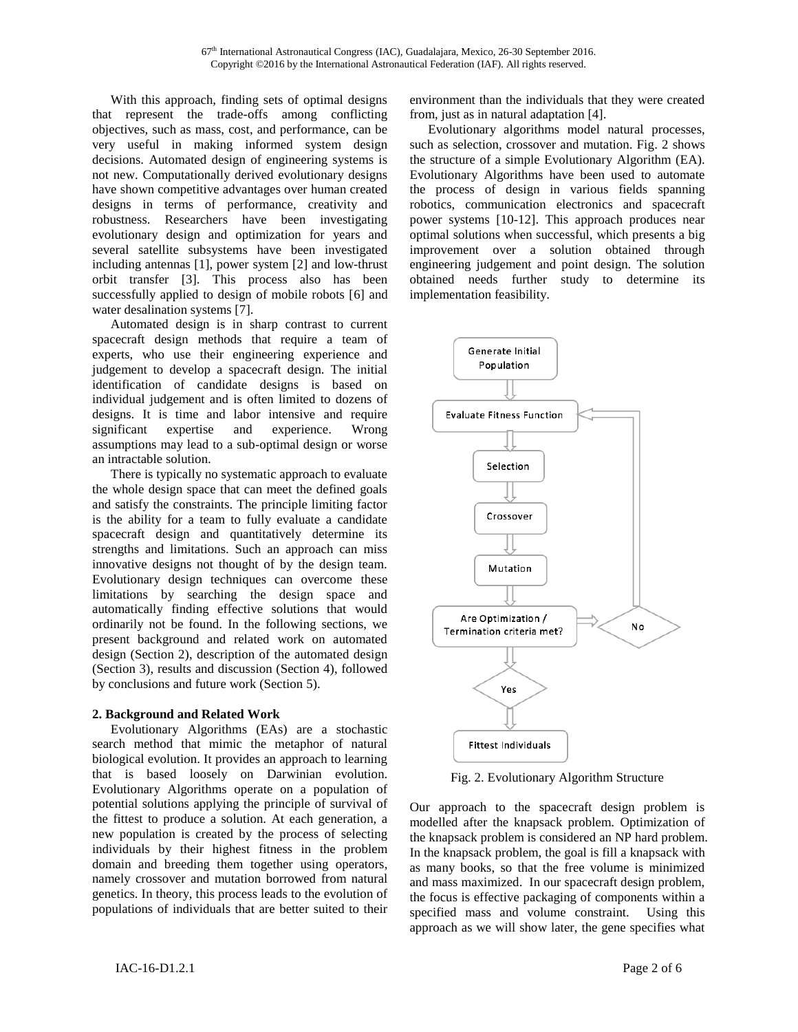With this approach, finding sets of optimal designs that represent the trade-offs among conflicting objectives, such as mass, cost, and performance, can be very useful in making informed system design decisions. Automated design of engineering systems is not new. Computationally derived evolutionary designs have shown competitive advantages over human created designs in terms of performance, creativity and robustness. Researchers have been investigating evolutionary design and optimization for years and several satellite subsystems have been investigated including antennas [1], power system [2] and low-thrust orbit transfer [3]. This process also has been successfully applied to design of mobile robots [6] and water desalination systems [7].

Automated design is in sharp contrast to current spacecraft design methods that require a team of experts, who use their engineering experience and judgement to develop a spacecraft design. The initial identification of candidate designs is based on individual judgement and is often limited to dozens of designs. It is time and labor intensive and require significant expertise and experience. Wrong assumptions may lead to a sub-optimal design or worse an intractable solution.

There is typically no systematic approach to evaluate the whole design space that can meet the defined goals and satisfy the constraints. The principle limiting factor is the ability for a team to fully evaluate a candidate spacecraft design and quantitatively determine its strengths and limitations. Such an approach can miss innovative designs not thought of by the design team. Evolutionary design techniques can overcome these limitations by searching the design space and automatically finding effective solutions that would ordinarily not be found. In the following sections, we present background and related work on automated design (Section 2), description of the automated design (Section 3), results and discussion (Section 4), followed by conclusions and future work (Section 5).

# **2. Background and Related Work**

Evolutionary Algorithms (EAs) are a stochastic search method that mimic the metaphor of natural biological evolution. It provides an approach to learning that is based loosely on Darwinian evolution. Evolutionary Algorithms operate on a population of potential solutions applying the principle of survival of the fittest to produce a solution. At each generation, a new population is created by the process of selecting individuals by their highest fitness in the problem domain and breeding them together using operators, namely crossover and mutation borrowed from natural genetics. In theory, this process leads to the evolution of populations of individuals that are better suited to their

environment than the individuals that they were created from, just as in natural adaptation [4].

Evolutionary algorithms model natural processes, such as selection, crossover and mutation. Fig. 2 shows the structure of a simple Evolutionary Algorithm (EA). Evolutionary Algorithms have been used to automate the process of design in various fields spanning robotics, communication electronics and spacecraft power systems [10-12]. This approach produces near optimal solutions when successful, which presents a big improvement over a solution obtained through engineering judgement and point design. The solution obtained needs further study to determine its implementation feasibility.



Fig. 2. Evolutionary Algorithm Structure

Our approach to the spacecraft design problem is modelled after the knapsack problem. Optimization of the knapsack problem is considered an NP hard problem. In the knapsack problem, the goal is fill a knapsack with as many books, so that the free volume is minimized and mass maximized. In our spacecraft design problem, the focus is effective packaging of components within a specified mass and volume constraint. Using this approach as we will show later, the gene specifies what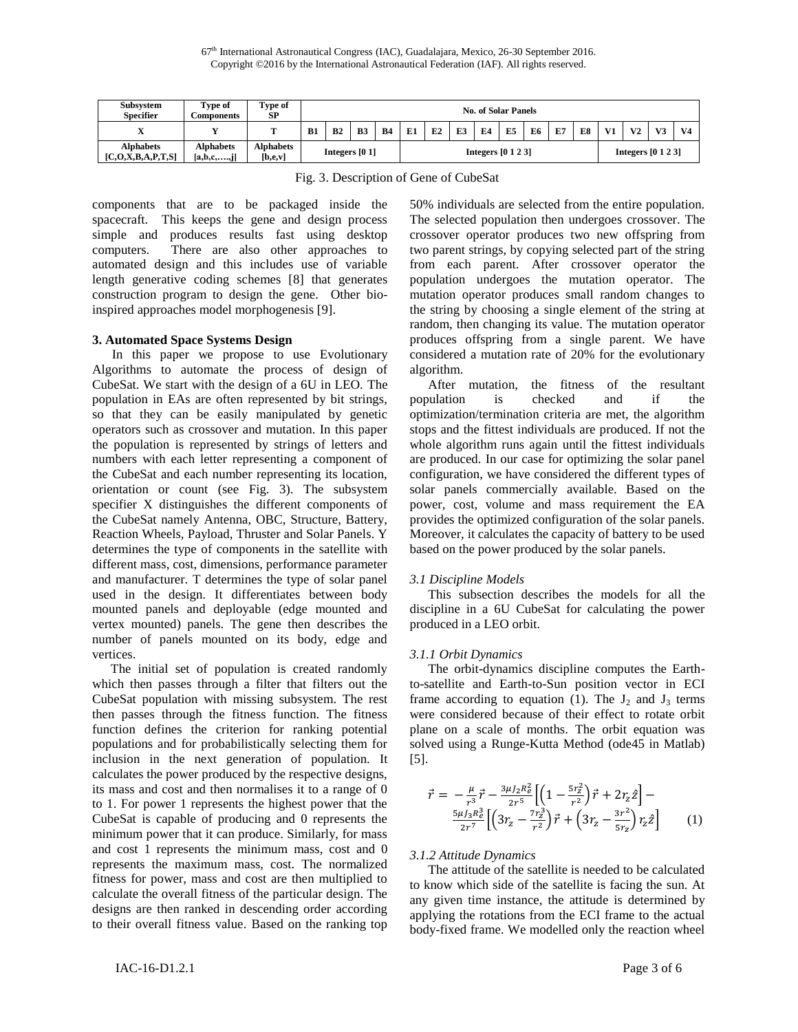| <b>Subsystem</b><br><b>Specifier</b>         | Type of<br><b>Components</b>             | Type of<br>SP               | No. of Solar Panels |    |           |           |                      |    |    |    |    |    |    |    |                      |                |                |                |
|----------------------------------------------|------------------------------------------|-----------------------------|---------------------|----|-----------|-----------|----------------------|----|----|----|----|----|----|----|----------------------|----------------|----------------|----------------|
| $\mathbf{v}$                                 |                                          | m                           | B1                  | B2 | <b>B3</b> | <b>B4</b> | E1                   | E2 | E3 | E4 | E5 | E6 | E7 | E8 | V <sub>1</sub>       | V <sub>2</sub> | V <sub>3</sub> | V <sub>4</sub> |
| <b>Alphabets</b><br>[C, O, X, B, A, P, T, S] | <b>Alphabets</b><br>$[a,b,c, \ldots, j]$ | <b>Alphabets</b><br>[b,e,v] | Integers $[0 1]$    |    |           |           | Integers $[0 1 2 3]$ |    |    |    |    |    |    |    | Integers $[0 1 2 3]$ |                |                |                |

Fig. 3. Description of Gene of CubeSat

components that are to be packaged inside the spacecraft. This keeps the gene and design process simple and produces results fast using desktop computers. There are also other approaches to automated design and this includes use of variable length generative coding schemes [8] that generates construction program to design the gene. Other bioinspired approaches model morphogenesis [9].

### **3. Automated Space Systems Design**

 In this paper we propose to use Evolutionary Algorithms to automate the process of design of CubeSat. We start with the design of a 6U in LEO. The population in EAs are often represented by bit strings, so that they can be easily manipulated by genetic operators such as crossover and mutation. In this paper the population is represented by strings of letters and numbers with each letter representing a component of the CubeSat and each number representing its location, orientation or count (see Fig. 3). The subsystem specifier X distinguishes the different components of the CubeSat namely Antenna, OBC, Structure, Battery, Reaction Wheels, Payload, Thruster and Solar Panels. Y determines the type of components in the satellite with different mass, cost, dimensions, performance parameter and manufacturer. T determines the type of solar panel used in the design. It differentiates between body mounted panels and deployable (edge mounted and vertex mounted) panels. The gene then describes the number of panels mounted on its body, edge and vertices.

The initial set of population is created randomly which then passes through a filter that filters out the CubeSat population with missing subsystem. The rest then passes through the fitness function. The fitness function defines the criterion for ranking potential populations and for probabilistically selecting them for inclusion in the next generation of population. It calculates the power produced by the respective designs, its mass and cost and then normalises it to a range of 0 to 1. For power 1 represents the highest power that the CubeSat is capable of producing and 0 represents the minimum power that it can produce. Similarly, for mass and cost 1 represents the minimum mass, cost and 0 represents the maximum mass, cost. The normalized fitness for power, mass and cost are then multiplied to calculate the overall fitness of the particular design. The designs are then ranked in descending order according to their overall fitness value. Based on the ranking top

50% individuals are selected from the entire population. The selected population then undergoes crossover. The crossover operator produces two new offspring from two parent strings, by copying selected part of the string from each parent. After crossover operator the population undergoes the mutation operator. The mutation operator produces small random changes to the string by choosing a single element of the string at random, then changing its value. The mutation operator produces offspring from a single parent. We have considered a mutation rate of 20% for the evolutionary algorithm.

After mutation, the fitness of the resultant population is checked and if the optimization/termination criteria are met, the algorithm stops and the fittest individuals are produced. If not the whole algorithm runs again until the fittest individuals are produced. In our case for optimizing the solar panel configuration, we have considered the different types of solar panels commercially available. Based on the power, cost, volume and mass requirement the EA provides the optimized configuration of the solar panels. Moreover, it calculates the capacity of battery to be used based on the power produced by the solar panels.

# *3.1 Discipline Models*

This subsection describes the models for all the discipline in a 6U CubeSat for calculating the power produced in a LEO orbit.

# *3.1.1 Orbit Dynamics*

The orbit-dynamics discipline computes the Earthto-satellite and Earth-to-Sun position vector in ECI frame according to equation (1). The  $J_2$  and  $J_3$  terms were considered because of their effect to rotate orbit plane on a scale of months. The orbit equation was solved using a Runge-Kutta Method (ode45 in Matlab) [5].

$$
\vec{r} = -\frac{\mu}{r^3} \vec{r} - \frac{3\mu J_2 R_e^2}{2r^5} \left[ \left( 1 - \frac{5r_z^2}{r^2} \right) \vec{r} + 2r_z \hat{z} \right] - \frac{5\mu J_3 R_e^3}{2r^7} \left[ \left( 3r_z - \frac{7r_z^3}{r^2} \right) \vec{r} + \left( 3r_z - \frac{3r^2}{5r_z} \right) r_z \hat{z} \right] \tag{1}
$$

# *3.1.2 Attitude Dynamics*

The attitude of the satellite is needed to be calculated to know which side of the satellite is facing the sun. At any given time instance, the attitude is determined by applying the rotations from the ECI frame to the actual body-fixed frame. We modelled only the reaction wheel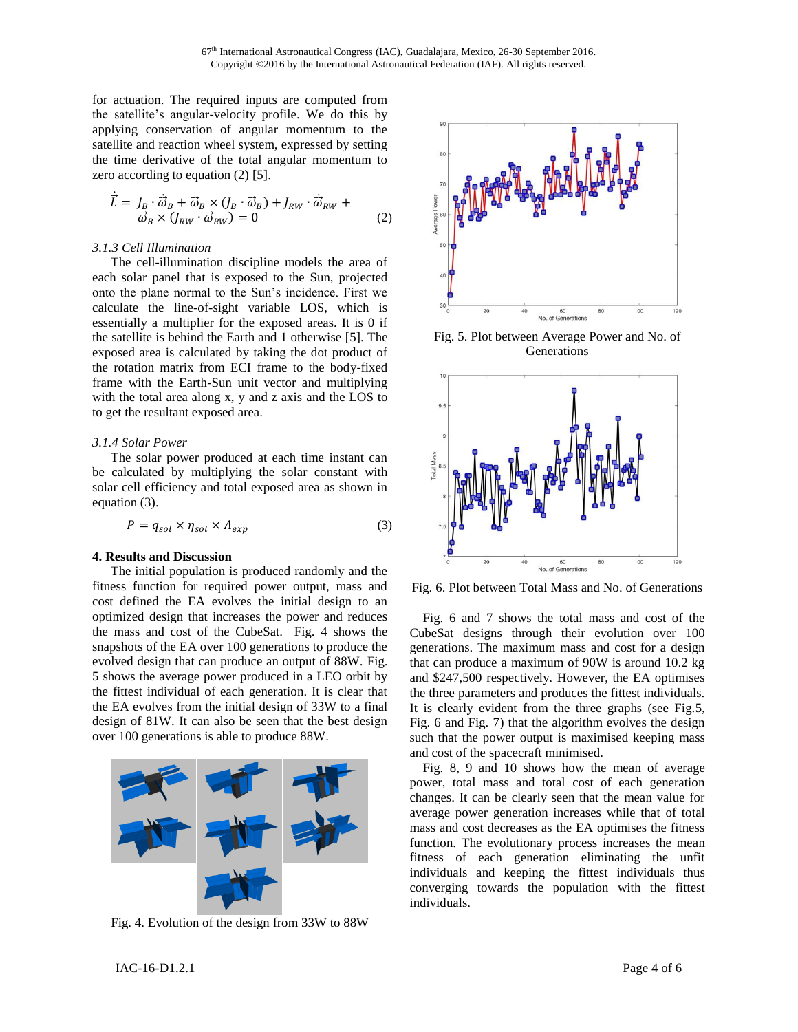for actuation. The required inputs are computed from the satellite's angular-velocity profile. We do this by applying conservation of angular momentum to the satellite and reaction wheel system, expressed by setting the time derivative of the total angular momentum to zero according to equation (2) [5].

$$
\dot{\vec{L}} = J_B \cdot \dot{\vec{\omega}}_B + \vec{\omega}_B \times (J_B \cdot \vec{\omega}_B) + J_{RW} \cdot \dot{\vec{\omega}}_{RW} + \vec{\omega}_B \times (J_{RW} \cdot \vec{\omega}_{RW}) = 0
$$
\n(2)

#### *3.1.3 Cell Illumination*

The cell-illumination discipline models the area of each solar panel that is exposed to the Sun, projected onto the plane normal to the Sun's incidence. First we calculate the line-of-sight variable LOS, which is essentially a multiplier for the exposed areas. It is 0 if the satellite is behind the Earth and 1 otherwise [5]. The exposed area is calculated by taking the dot product of the rotation matrix from ECI frame to the body-fixed frame with the Earth-Sun unit vector and multiplying with the total area along x, y and z axis and the LOS to to get the resultant exposed area.

#### *3.1.4 Solar Power*

The solar power produced at each time instant can be calculated by multiplying the solar constant with solar cell efficiency and total exposed area as shown in equation (3).

$$
P = q_{sol} \times \eta_{sol} \times A_{exp}
$$
 (3)

#### **4. Results and Discussion**

The initial population is produced randomly and the fitness function for required power output, mass and cost defined the EA evolves the initial design to an optimized design that increases the power and reduces the mass and cost of the CubeSat. Fig. 4 shows the snapshots of the EA over 100 generations to produce the evolved design that can produce an output of 88W. Fig. 5 shows the average power produced in a LEO orbit by the fittest individual of each generation. It is clear that the EA evolves from the initial design of 33W to a final design of 81W. It can also be seen that the best design over 100 generations is able to produce 88W.



Fig. 4. Evolution of the design from 33W to 88W



Fig. 5. Plot between Average Power and No. of Generations



Fig. 6. Plot between Total Mass and No. of Generations

 Fig. 6 and 7 shows the total mass and cost of the CubeSat designs through their evolution over 100 generations. The maximum mass and cost for a design that can produce a maximum of 90W is around 10.2 kg and \$247,500 respectively. However, the EA optimises the three parameters and produces the fittest individuals. It is clearly evident from the three graphs (see Fig.5, Fig. 6 and Fig. 7) that the algorithm evolves the design such that the power output is maximised keeping mass and cost of the spacecraft minimised.

 Fig. 8, 9 and 10 shows how the mean of average power, total mass and total cost of each generation changes. It can be clearly seen that the mean value for average power generation increases while that of total mass and cost decreases as the EA optimises the fitness function. The evolutionary process increases the mean fitness of each generation eliminating the unfit individuals and keeping the fittest individuals thus converging towards the population with the fittest individuals.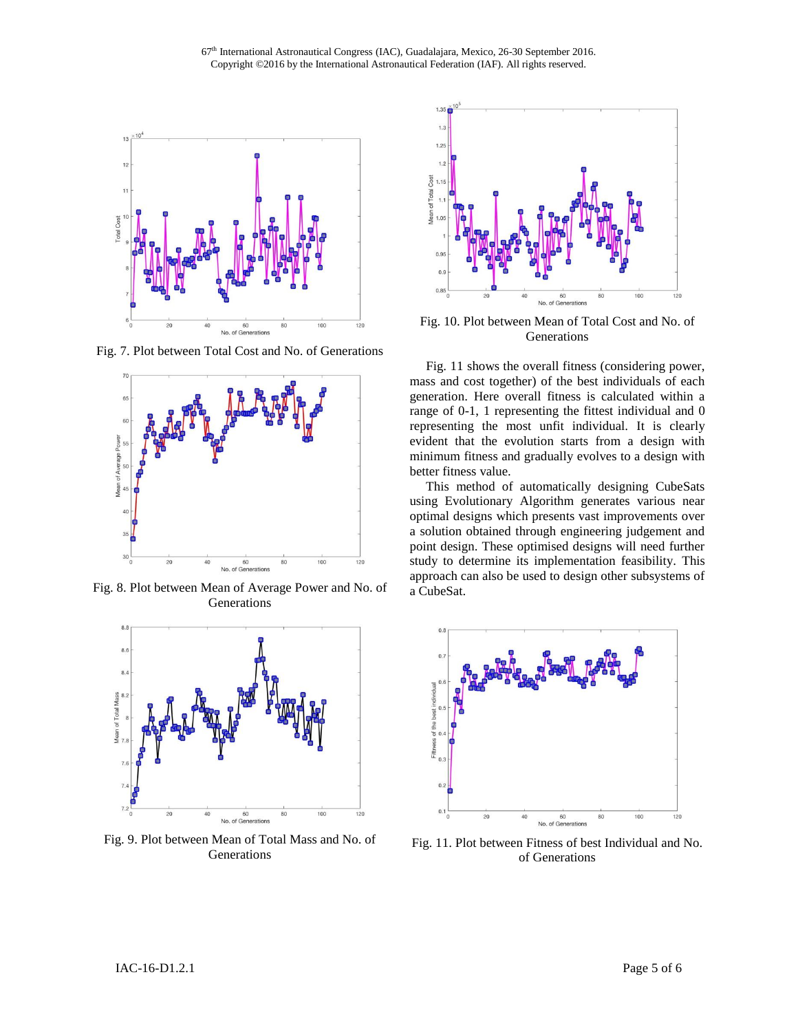67<sup>th</sup> International Astronautical Congress (IAC), Guadalajara, Mexico, 26-30 September 2016. Copyright ©2016 by the International Astronautical Federation (IAF). All rights reserved.



Fig. 7. Plot between Total Cost and No. of Generations



Fig. 8. Plot between Mean of Average Power and No. of Generations



Fig. 9. Plot between Mean of Total Mass and No. of Generations



Fig. 10. Plot between Mean of Total Cost and No. of Generations

 Fig. 11 shows the overall fitness (considering power, mass and cost together) of the best individuals of each generation. Here overall fitness is calculated within a range of 0-1, 1 representing the fittest individual and 0 representing the most unfit individual. It is clearly evident that the evolution starts from a design with minimum fitness and gradually evolves to a design with better fitness value.

 This method of automatically designing CubeSats using Evolutionary Algorithm generates various near optimal designs which presents vast improvements over a solution obtained through engineering judgement and point design. These optimised designs will need further study to determine its implementation feasibility. This approach can also be used to design other subsystems of a CubeSat.



Fig. 11. Plot between Fitness of best Individual and No. of Generations